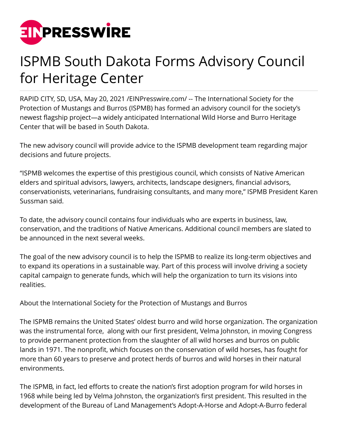

## ISPMB South Dakota Forms Advisory Council for Heritage Center

RAPID CITY, SD, USA, May 20, 2021 [/EINPresswire.com](http://www.einpresswire.com)/ -- The International Society for the Protection of Mustangs and Burros (ISPMB) has formed an advisory council for the society's newest flagship project—a widely anticipated International Wild Horse and Burro Heritage Center that will be based in South Dakota.

The new advisory council will provide advice to the ISPMB development team regarding major decisions and future projects.

"ISPMB welcomes the expertise of this prestigious council, which consists of Native American elders and spiritual advisors, lawyers, architects, landscape designers, financial advisors, conservationists, veterinarians, fundraising consultants, and many more," ISPMB President Karen Sussman said.

To date, the advisory council contains four individuals who are experts in business, law, conservation, and the traditions of Native Americans. Additional council members are slated to be announced in the next several weeks.

The goal of the new advisory council is to help the ISPMB to realize its long-term objectives and to expand its operations in a sustainable way. Part of this process will involve driving a society capital campaign to generate funds, which will help the organization to turn its visions into realities.

About the International Society for the Protection of Mustangs and Burros

The ISPMB remains the United States' oldest burro and wild horse organization. The organization was the instrumental force, along with our first president, Velma Johnston, in moving Congress to provide permanent protection from the slaughter of all wild horses and burros on public lands in 1971. The nonprofit, which focuses on the conservation of wild horses, has fought for more than 60 years to preserve and protect herds of burros and wild horses in their natural environments.

The ISPMB, in fact, led efforts to create the nation's first adoption program for wild horses in 1968 while being led by Velma Johnston, the organization's first president. This resulted in the development of the Bureau of Land Management's Adopt-A-Horse and Adopt-A-Burro federal